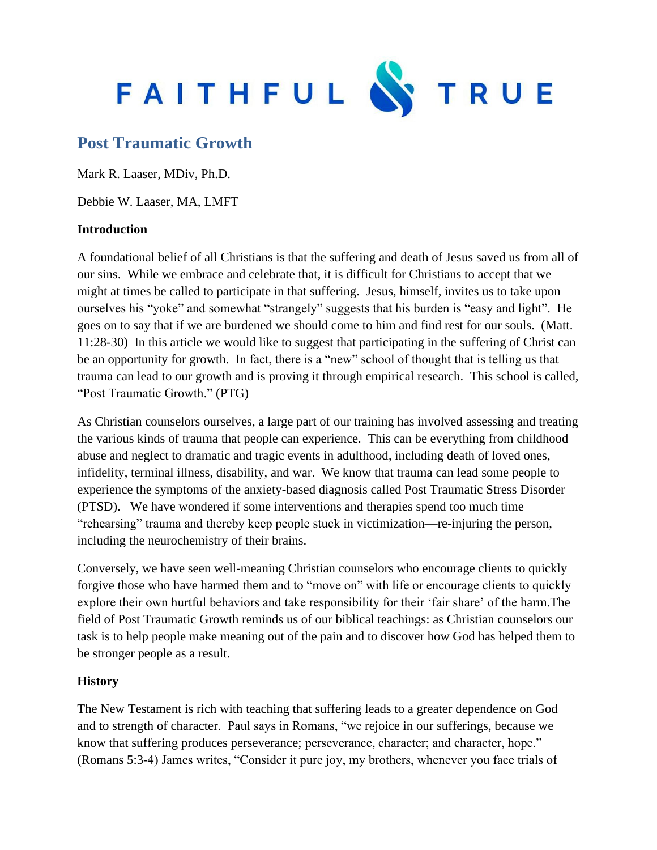

# **Post Traumatic Growth**

Mark R. Laaser, MDiv, Ph.D.

Debbie W. Laaser, MA, LMFT

#### **Introduction**

A foundational belief of all Christians is that the suffering and death of Jesus saved us from all of our sins. While we embrace and celebrate that, it is difficult for Christians to accept that we might at times be called to participate in that suffering. Jesus, himself, invites us to take upon ourselves his "yoke" and somewhat "strangely" suggests that his burden is "easy and light". He goes on to say that if we are burdened we should come to him and find rest for our souls. (Matt. 11:28-30) In this article we would like to suggest that participating in the suffering of Christ can be an opportunity for growth. In fact, there is a "new" school of thought that is telling us that trauma can lead to our growth and is proving it through empirical research. This school is called, "Post Traumatic Growth." (PTG)

As Christian counselors ourselves, a large part of our training has involved assessing and treating the various kinds of trauma that people can experience. This can be everything from childhood abuse and neglect to dramatic and tragic events in adulthood, including death of loved ones, infidelity, terminal illness, disability, and war. We know that trauma can lead some people to experience the symptoms of the anxiety-based diagnosis called Post Traumatic Stress Disorder (PTSD). We have wondered if some interventions and therapies spend too much time "rehearsing" trauma and thereby keep people stuck in victimization—re-injuring the person, including the neurochemistry of their brains.

Conversely, we have seen well-meaning Christian counselors who encourage clients to quickly forgive those who have harmed them and to "move on" with life or encourage clients to quickly explore their own hurtful behaviors and take responsibility for their 'fair share' of the harm.The field of Post Traumatic Growth reminds us of our biblical teachings: as Christian counselors our task is to help people make meaning out of the pain and to discover how God has helped them to be stronger people as a result.

## **History**

The New Testament is rich with teaching that suffering leads to a greater dependence on God and to strength of character. Paul says in Romans, "we rejoice in our sufferings, because we know that suffering produces perseverance; perseverance, character; and character, hope." (Romans 5:3-4) James writes, "Consider it pure joy, my brothers, whenever you face trials of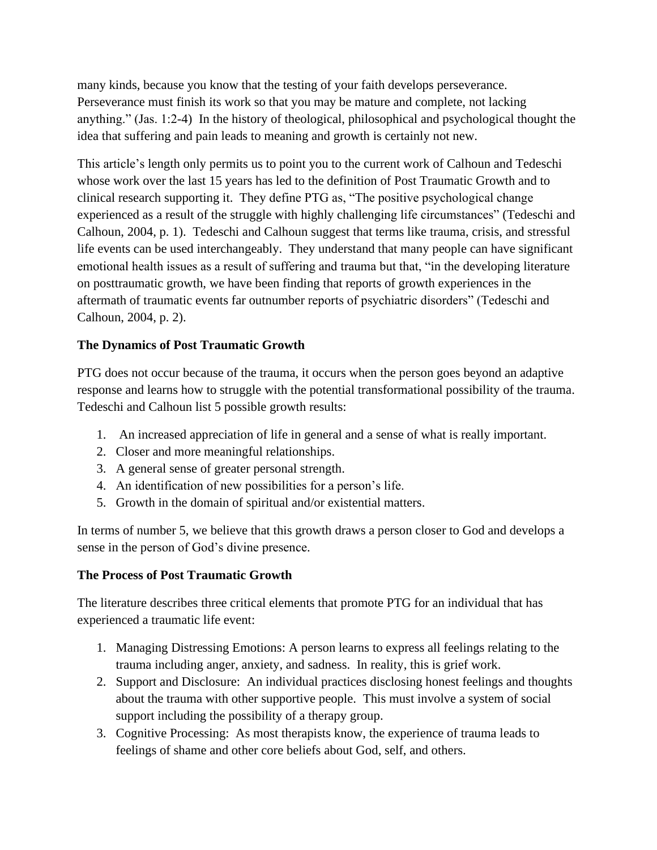many kinds, because you know that the testing of your faith develops perseverance. Perseverance must finish its work so that you may be mature and complete, not lacking anything." (Jas. 1:2-4) In the history of theological, philosophical and psychological thought the idea that suffering and pain leads to meaning and growth is certainly not new.

This article's length only permits us to point you to the current work of Calhoun and Tedeschi whose work over the last 15 years has led to the definition of Post Traumatic Growth and to clinical research supporting it. They define PTG as, "The positive psychological change experienced as a result of the struggle with highly challenging life circumstances" (Tedeschi and Calhoun, 2004, p. 1). Tedeschi and Calhoun suggest that terms like trauma, crisis, and stressful life events can be used interchangeably. They understand that many people can have significant emotional health issues as a result of suffering and trauma but that, "in the developing literature on posttraumatic growth, we have been finding that reports of growth experiences in the aftermath of traumatic events far outnumber reports of psychiatric disorders" (Tedeschi and Calhoun, 2004, p. 2).

## **The Dynamics of Post Traumatic Growth**

PTG does not occur because of the trauma, it occurs when the person goes beyond an adaptive response and learns how to struggle with the potential transformational possibility of the trauma. Tedeschi and Calhoun list 5 possible growth results:

- 1. An increased appreciation of life in general and a sense of what is really important.
- 2. Closer and more meaningful relationships.
- 3. A general sense of greater personal strength.
- 4. An identification of new possibilities for a person's life.
- 5. Growth in the domain of spiritual and/or existential matters.

In terms of number 5, we believe that this growth draws a person closer to God and develops a sense in the person of God's divine presence.

## **The Process of Post Traumatic Growth**

The literature describes three critical elements that promote PTG for an individual that has experienced a traumatic life event:

- 1. Managing Distressing Emotions: A person learns to express all feelings relating to the trauma including anger, anxiety, and sadness. In reality, this is grief work.
- 2. Support and Disclosure: An individual practices disclosing honest feelings and thoughts about the trauma with other supportive people. This must involve a system of social support including the possibility of a therapy group.
- 3. Cognitive Processing: As most therapists know, the experience of trauma leads to feelings of shame and other core beliefs about God, self, and others.